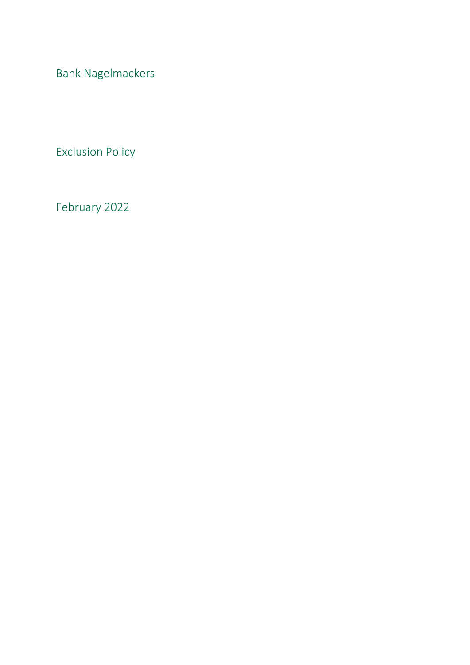Bank Nagelmackers

Exclusion Policy

February 2022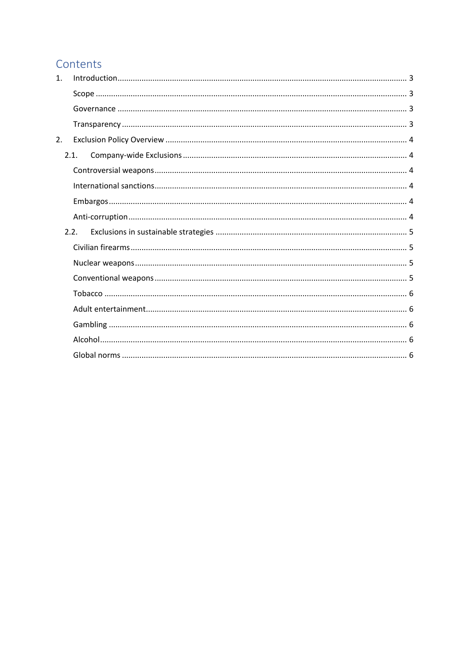# Contents

| 2.1. |  |
|------|--|
|      |  |
|      |  |
|      |  |
|      |  |
| 2.2. |  |
|      |  |
|      |  |
|      |  |
|      |  |
|      |  |
|      |  |
|      |  |
|      |  |
|      |  |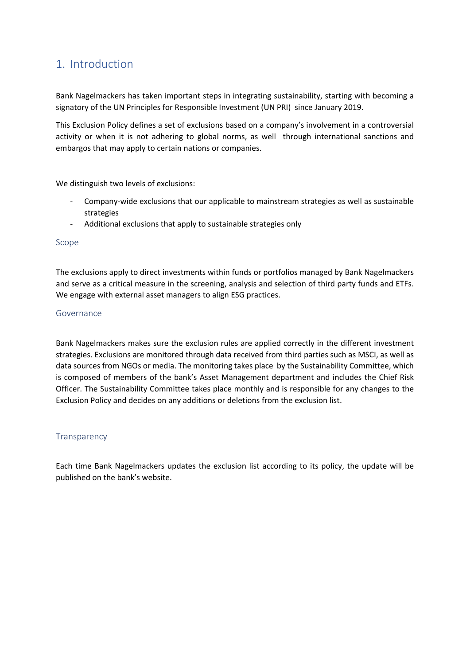# <span id="page-2-0"></span>1. Introduction

Bank Nagelmackers has taken important steps in integrating sustainability, starting with becoming a signatory of the UN Principles for Responsible Investment (UN PRI) since January 2019.

This Exclusion Policy defines a set of exclusions based on a company's involvement in a controversial activity or when it is not adhering to global norms, as well through international sanctions and embargos that may apply to certain nations or companies.

We distinguish two levels of exclusions:

- Company-wide exclusions that our applicable to mainstream strategies as well as sustainable strategies
- Additional exclusions that apply to sustainable strategies only

### <span id="page-2-1"></span>Scope

The exclusions apply to direct investments within funds or portfolios managed by Bank Nagelmackers and serve as a critical measure in the screening, analysis and selection of third party funds and ETFs. We engage with external asset managers to align ESG practices.

### <span id="page-2-2"></span>Governance

Bank Nagelmackers makes sure the exclusion rules are applied correctly in the different investment strategies. Exclusions are monitored through data received from third parties such as MSCI, as well as data sources from NGOs or media. The monitoring takes place by the Sustainability Committee, which is composed of members of the bank's Asset Management department and includes the Chief Risk Officer. The Sustainability Committee takes place monthly and is responsible for any changes to the Exclusion Policy and decides on any additions or deletions from the exclusion list.

## <span id="page-2-3"></span>**Transparency**

Each time Bank Nagelmackers updates the exclusion list according to its policy, the update will be published on the bank's website.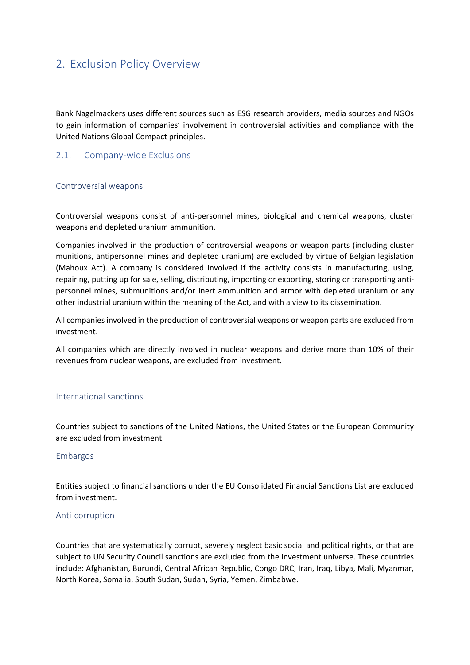## <span id="page-3-0"></span>2. Exclusion Policy Overview

Bank Nagelmackers uses different sources such as ESG research providers, media sources and NGOs to gain information of companies' involvement in controversial activities and compliance with the United Nations Global Compact principles.

## <span id="page-3-1"></span>2.1. Company-wide Exclusions

### <span id="page-3-2"></span>Controversial weapons

Controversial weapons consist of anti-personnel mines, biological and chemical weapons, cluster weapons and depleted uranium ammunition.

Companies involved in the production of controversial weapons or weapon parts (including cluster munitions, antipersonnel mines and depleted uranium) are excluded by virtue of Belgian legislation (Mahoux Act). A company is considered involved if the activity consists in manufacturing, using, repairing, putting up for sale, selling, distributing, importing or exporting, storing or transporting antipersonnel mines, submunitions and/or inert ammunition and armor with depleted uranium or any other industrial uranium within the meaning of the Act, and with a view to its dissemination.

All companies involved in the production of controversial weapons or weapon parts are excluded from investment.

All companies which are directly involved in nuclear weapons and derive more than 10% of their revenues from nuclear weapons, are excluded from investment.

## <span id="page-3-3"></span>International sanctions

Countries subject to sanctions of the United Nations, the United States or the European Community are excluded from investment.

### <span id="page-3-4"></span>Embargos

Entities subject to financial sanctions under the EU Consolidated Financial Sanctions List are excluded from investment.

### <span id="page-3-5"></span>Anti-corruption

Countries that are systematically corrupt, severely neglect basic social and political rights, or that are subject to UN Security Council sanctions are excluded from the investment universe. These countries include: Afghanistan, Burundi, Central African Republic, Congo DRC, Iran, Iraq, Libya, Mali, Myanmar, North Korea, Somalia, South Sudan, Sudan, Syria, Yemen, Zimbabwe.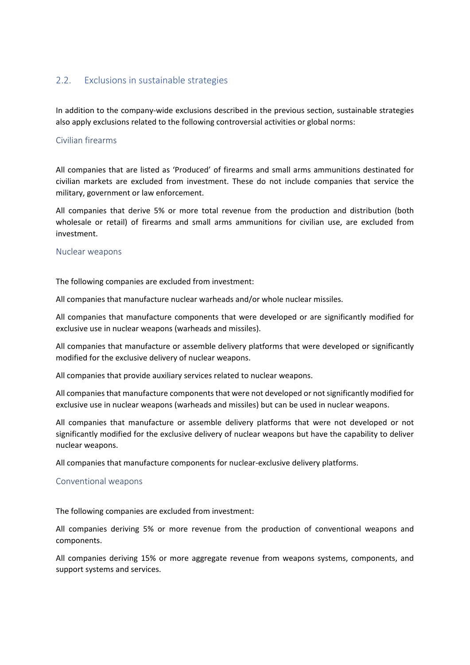## <span id="page-4-0"></span>2.2. Exclusions in sustainable strategies

In addition to the company-wide exclusions described in the previous section, sustainable strategies also apply exclusions related to the following controversial activities or global norms:

#### <span id="page-4-1"></span>Civilian firearms

All companies that are listed as 'Produced' of firearms and small arms ammunitions destinated for civilian markets are excluded from investment. These do not include companies that service the military, government or law enforcement.

All companies that derive 5% or more total revenue from the production and distribution (both wholesale or retail) of firearms and small arms ammunitions for civilian use, are excluded from investment.

#### <span id="page-4-2"></span>Nuclear weapons

The following companies are excluded from investment:

All companies that manufacture nuclear warheads and/or whole nuclear missiles.

All companies that manufacture components that were developed or are significantly modified for exclusive use in nuclear weapons (warheads and missiles).

All companies that manufacture or assemble delivery platforms that were developed or significantly modified for the exclusive delivery of nuclear weapons.

All companies that provide auxiliary services related to nuclear weapons.

All companies that manufacture components that were not developed or not significantly modified for exclusive use in nuclear weapons (warheads and missiles) but can be used in nuclear weapons.

All companies that manufacture or assemble delivery platforms that were not developed or not significantly modified for the exclusive delivery of nuclear weapons but have the capability to deliver nuclear weapons.

All companies that manufacture components for nuclear-exclusive delivery platforms.

#### <span id="page-4-3"></span>Conventional weapons

The following companies are excluded from investment:

All companies deriving 5% or more revenue from the production of conventional weapons and components.

All companies deriving 15% or more aggregate revenue from weapons systems, components, and support systems and services.